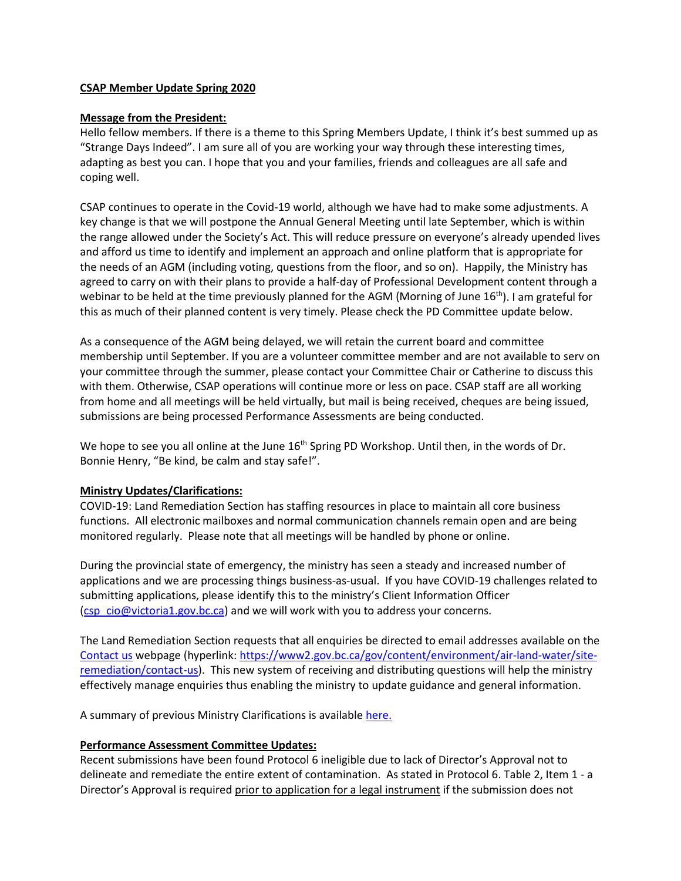#### **CSAP Member Update Spring 2020**

#### **Message from the President:**

Hello fellow members. If there is a theme to this Spring Members Update, I think it's best summed up as "Strange Days Indeed". I am sure all of you are working your way through these interesting times, adapting as best you can. I hope that you and your families, friends and colleagues are all safe and coping well.

CSAP continues to operate in the Covid-19 world, although we have had to make some adjustments. A key change is that we will postpone the Annual General Meeting until late September, which is within the range allowed under the Society's Act. This will reduce pressure on everyone's already upended lives and afford us time to identify and implement an approach and online platform that is appropriate for the needs of an AGM (including voting, questions from the floor, and so on). Happily, the Ministry has agreed to carry on with their plans to provide a half-day of Professional Development content through a webinar to be held at the time previously planned for the AGM (Morning of June 16<sup>th</sup>). I am grateful for this as much of their planned content is very timely. Please check the PD Committee update below.

As a consequence of the AGM being delayed, we will retain the current board and committee membership until September. If you are a volunteer committee member and are not available to serv on your committee through the summer, please contact your Committee Chair or Catherine to discuss this with them. Otherwise, CSAP operations will continue more or less on pace. CSAP staff are all working from home and all meetings will be held virtually, but mail is being received, cheques are being issued, submissions are being processed Performance Assessments are being conducted.

We hope to see you all online at the June 16<sup>th</sup> Spring PD Workshop. Until then, in the words of Dr. Bonnie Henry, "Be kind, be calm and stay safe!".

#### **Ministry Updates/Clarifications:**

COVID-19: Land Remediation Section has staffing resources in place to maintain all core business functions. All electronic mailboxes and normal communication channels remain open and are being monitored regularly. Please note that all meetings will be handled by phone or online.

During the provincial state of emergency, the ministry has seen a steady and increased number of applications and we are processing things business-as-usual. If you have COVID-19 challenges related to submitting applications, please identify this to the ministry's Client Information Officer [\(csp\\_cio@victoria1.gov.bc.ca\)](mailto:csp_cio@victoria1.gov.bc.ca) and we will work with you to address your concerns.

The Land Remediation Section requests that all enquiries be directed to email addresses available on the [Contact us](https://www2.gov.bc.ca/gov/content/environment/air-land-water/site-remediation/contact-us) webpage (hyperlink[: https://www2.gov.bc.ca/gov/content/environment/air-land-water/site](https://www2.gov.bc.ca/gov/content/environment/air-land-water/site-remediation/contact-us)[remediation/contact-us\)](https://www2.gov.bc.ca/gov/content/environment/air-land-water/site-remediation/contact-us). This new system of receiving and distributing questions will help the ministry effectively manage enquiries thus enabling the ministry to update guidance and general information.

A summary of previous Ministry Clarifications is available [here.](https://csapsociety.bc.ca/wp-content/uploads/Ministry-Updates-Spring-2018-to-Summer-2012.pdf)

#### **Performance Assessment Committee Updates:**

Recent submissions have been found Protocol 6 ineligible due to lack of Director's Approval not to delineate and remediate the entire extent of contamination. As stated in Protocol 6. Table 2, Item 1 - a Director's Approval is required prior to application for a legal instrument if the submission does not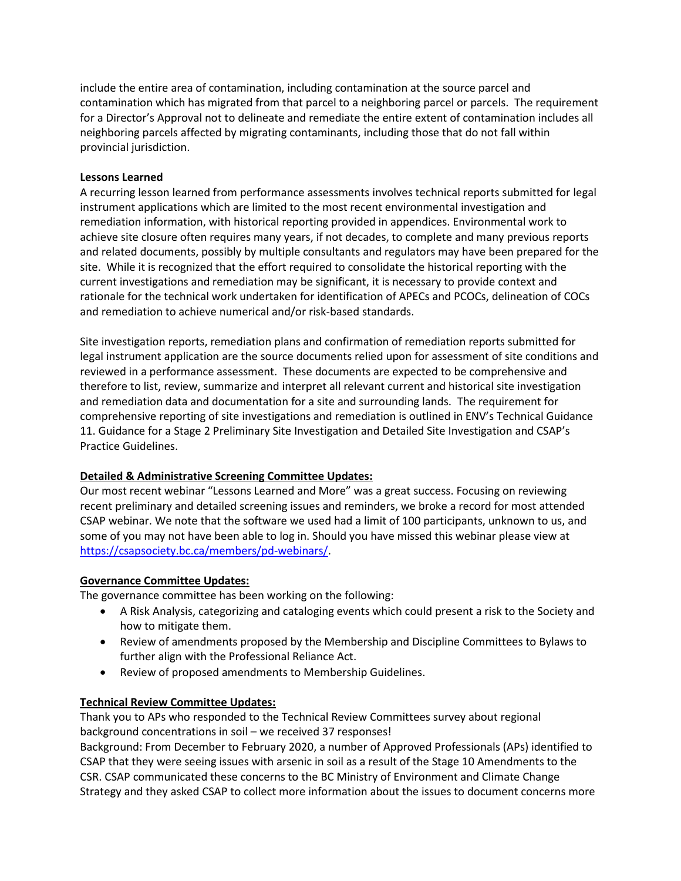include the entire area of contamination, including contamination at the source parcel and contamination which has migrated from that parcel to a neighboring parcel or parcels. The requirement for a Director's Approval not to delineate and remediate the entire extent of contamination includes all neighboring parcels affected by migrating contaminants, including those that do not fall within provincial jurisdiction.

### **Lessons Learned**

A recurring lesson learned from performance assessments involves technical reports submitted for legal instrument applications which are limited to the most recent environmental investigation and remediation information, with historical reporting provided in appendices. Environmental work to achieve site closure often requires many years, if not decades, to complete and many previous reports and related documents, possibly by multiple consultants and regulators may have been prepared for the site. While it is recognized that the effort required to consolidate the historical reporting with the current investigations and remediation may be significant, it is necessary to provide context and rationale for the technical work undertaken for identification of APECs and PCOCs, delineation of COCs and remediation to achieve numerical and/or risk-based standards.

Site investigation reports, remediation plans and confirmation of remediation reports submitted for legal instrument application are the source documents relied upon for assessment of site conditions and reviewed in a performance assessment. These documents are expected to be comprehensive and therefore to list, review, summarize and interpret all relevant current and historical site investigation and remediation data and documentation for a site and surrounding lands. The requirement for comprehensive reporting of site investigations and remediation is outlined in ENV's Technical Guidance 11. Guidance for a Stage 2 Preliminary Site Investigation and Detailed Site Investigation and CSAP's Practice Guidelines.

# **Detailed & Administrative Screening Committee Updates:**

Our most recent webinar "Lessons Learned and More" was a great success. Focusing on reviewing recent preliminary and detailed screening issues and reminders, we broke a record for most attended CSAP webinar. We note that the software we used had a limit of 100 participants, unknown to us, and some of you may not have been able to log in. Should you have missed this webinar please view at [https://csapsociety.bc.ca/members/pd-webinars/.](https://csapsociety.bc.ca/members/pd-webinars/)

# **Governance Committee Updates:**

The governance committee has been working on the following:

- A Risk Analysis, categorizing and cataloging events which could present a risk to the Society and how to mitigate them.
- Review of amendments proposed by the Membership and Discipline Committees to Bylaws to further align with the Professional Reliance Act.
- Review of proposed amendments to Membership Guidelines.

#### **Technical Review Committee Updates:**

Thank you to APs who responded to the Technical Review Committees survey about regional background concentrations in soil – we received 37 responses!

Background: From December to February 2020, a number of Approved Professionals (APs) identified to CSAP that they were seeing issues with arsenic in soil as a result of the Stage 10 Amendments to the CSR. CSAP communicated these concerns to the BC Ministry of Environment and Climate Change Strategy and they asked CSAP to collect more information about the issues to document concerns more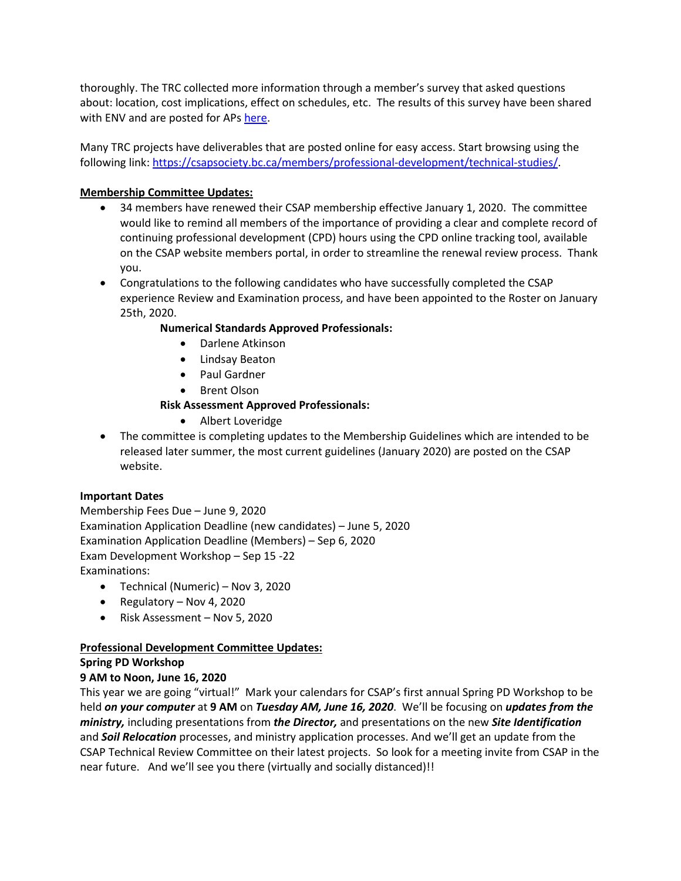thoroughly. The TRC collected more information through a member's survey that asked questions about: location, cost implications, effect on schedules, etc. The results of this survey have been shared with ENV and are posted for AP[s here.](http://csapsociety.bc.ca/wp-content/uploads/CSAP-Arsenic-Soil-Summary-for-Distribution.pdf)

Many TRC projects have deliverables that are posted online for easy access. Start browsing using the following link: [https://csapsociety.bc.ca/members/professional-development/technical-studies/.](https://csapsociety.bc.ca/members/professional-development/technical-studies/)

## **Membership Committee Updates:**

- 34 members have renewed their CSAP membership effective January 1, 2020. The committee would like to remind all members of the importance of providing a clear and complete record of continuing professional development (CPD) hours using the CPD online tracking tool, available on the CSAP website members portal, in order to streamline the renewal review process. Thank you.
- Congratulations to the following candidates who have successfully completed the CSAP experience Review and Examination process, and have been appointed to the Roster on January 25th, 2020.

## **Numerical Standards Approved Professionals:**

- Darlene Atkinson
- Lindsay Beaton
- Paul Gardner
- Brent Olson

## **Risk Assessment Approved Professionals:**

- Albert Loveridge
- The committee is completing updates to the Membership Guidelines which are intended to be released later summer, the most current guidelines (January 2020) are posted on the CSAP website.

#### **Important Dates**

Membership Fees Due – June 9, 2020 Examination Application Deadline (new candidates) – June 5, 2020 Examination Application Deadline (Members) – Sep 6, 2020 Exam Development Workshop – Sep 15 -22 Examinations:

- Technical (Numeric) Nov 3, 2020
- Regulatory Nov 4, 2020
- Risk Assessment Nov 5, 2020

# **Professional Development Committee Updates:**

#### **Spring PD Workshop**

#### **9 AM to Noon, June 16, 2020**

This year we are going "virtual!" Mark your calendars for CSAP's first annual Spring PD Workshop to be held *on your computer* at **9 AM** on *Tuesday AM, June 16, 2020*. We'll be focusing on *updates from the ministry,* including presentations from *the Director,* and presentations on the new *Site Identification*  and *Soil Relocation* processes, and ministry application processes. And we'll get an update from the CSAP Technical Review Committee on their latest projects. So look for a meeting invite from CSAP in the near future. And we'll see you there (virtually and socially distanced)!!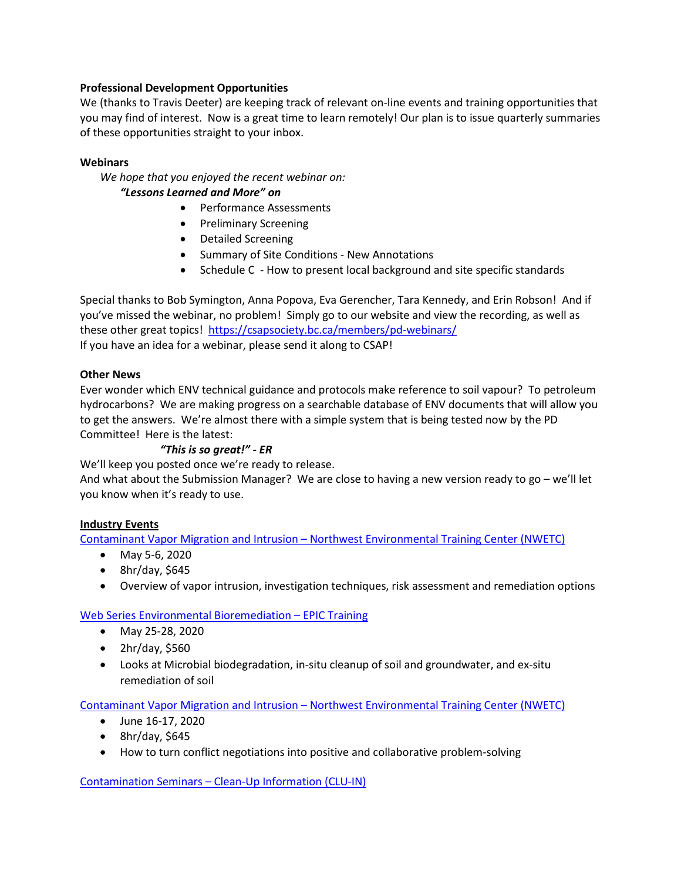### **Professional Development Opportunities**

We (thanks to Travis Deeter) are keeping track of relevant on-line events and training opportunities that you may find of interest. Now is a great time to learn remotely! Our plan is to issue quarterly summaries of these opportunities straight to your inbox.

## **Webinars**

*We hope that you enjoyed the recent webinar on:*

### *"Lessons Learned and More" on*

- Performance Assessments
- Preliminary Screening
- Detailed Screening
- Summary of Site Conditions New Annotations
- Schedule C How to present local background and site specific standards

Special thanks to Bob Symington, Anna Popova, Eva Gerencher, Tara Kennedy, and Erin Robson! And if you've missed the webinar, no problem! Simply go to our website and view the recording, as well as these other great topics!<https://csapsociety.bc.ca/members/pd-webinars/> If you have an idea for a webinar, please send it along to CSAP!

#### **Other News**

Ever wonder which ENV technical guidance and protocols make reference to soil vapour? To petroleum hydrocarbons? We are making progress on a searchable database of ENV documents that will allow you to get the answers. We're almost there with a simple system that is being tested now by the PD Committee! Here is the latest:

#### *"This is so great!" - ER*

We'll keep you posted once we're ready to release.

And what about the Submission Manager? We are close to having a new version ready to go – we'll let you know when it's ready to use.

#### **Industry Events**

Contaminant Vapor Migration and Intrusion – [Northwest Environmental Training Center \(NWETC\)](https://nwetc.org/course-catalog/vaqm-401-may-5-6-2020)

- May 5-6, 2020
- $\bullet$  8hr/day, \$645
- Overview of vapor intrusion, investigation techniques, risk assessment and remediation options

#### [Web Series Environmental Bioremediation –](https://www.epictraining.ca/webinar/16563/online/web-series-environmental-bioremediation) EPIC Training

- May 25-28, 2020
- 2hr/day, \$560
- Looks at Microbial biodegradation, in-situ cleanup of soil and groundwater, and ex-situ remediation of soil

Contaminant Vapor Migration and Intrusion – [Northwest Environmental Training Center \(NWETC\)](https://nwetc.org/course-catalog/neg-350-june-16-17-2020)

- June 16-17, 2020
- 8hr/day, \$645
- How to turn conflict negotiations into positive and collaborative problem-solving

Contamination Seminars – [Clean-Up Information \(CLU-IN\)](https://clu-in.org/live/)